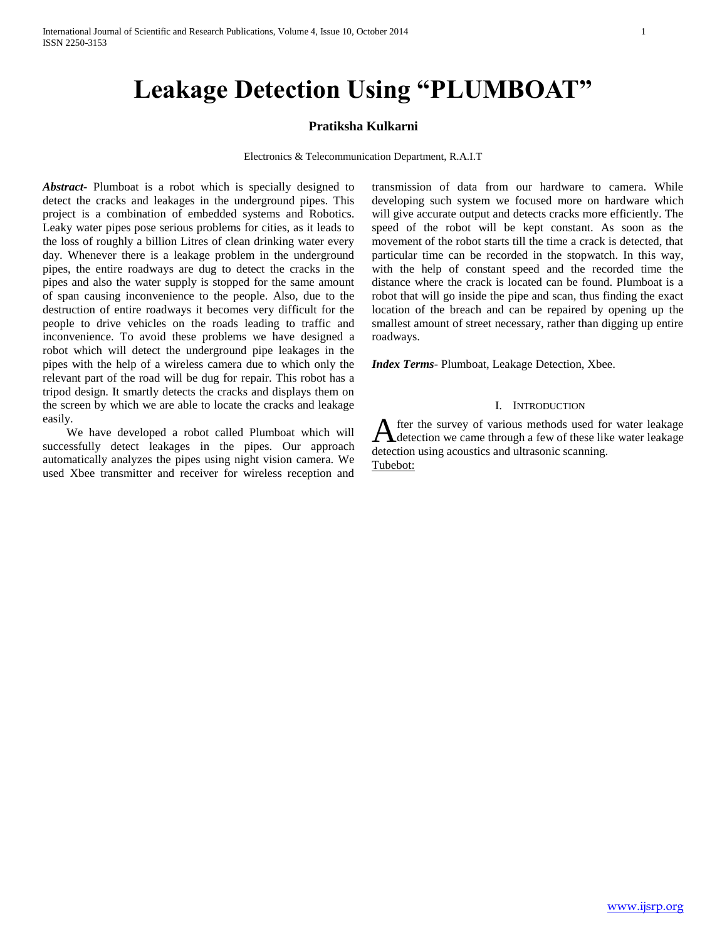# **Leakage Detection Using "PLUMBOAT"**

#### **Pratiksha Kulkarni**

Electronics & Telecommunication Department, R.A.I.T

*Abstract***-** Plumboat is a robot which is specially designed to detect the cracks and leakages in the underground pipes. This project is a combination of embedded systems and Robotics. Leaky water pipes pose serious problems for cities, as it leads to the loss of roughly a billion Litres of clean drinking water every day. Whenever there is a leakage problem in the underground pipes, the entire roadways are dug to detect the cracks in the pipes and also the water supply is stopped for the same amount of span causing inconvenience to the people. Also, due to the destruction of entire roadways it becomes very difficult for the people to drive vehicles on the roads leading to traffic and inconvenience. To avoid these problems we have designed a robot which will detect the underground pipe leakages in the pipes with the help of a wireless camera due to which only the relevant part of the road will be dug for repair. This robot has a tripod design. It smartly detects the cracks and displays them on the screen by which we are able to locate the cracks and leakage easily.

 We have developed a robot called Plumboat which will successfully detect leakages in the pipes. Our approach automatically analyzes the pipes using night vision camera. We used Xbee transmitter and receiver for wireless reception and transmission of data from our hardware to camera. While developing such system we focused more on hardware which will give accurate output and detects cracks more efficiently. The speed of the robot will be kept constant. As soon as the movement of the robot starts till the time a crack is detected, that particular time can be recorded in the stopwatch. In this way, with the help of constant speed and the recorded time the distance where the crack is located can be found. Plumboat is a robot that will go inside the pipe and scan, thus finding the exact location of the breach and can be repaired by opening up the smallest amount of street necessary, rather than digging up entire roadways.

*Index Terms*- Plumboat, Leakage Detection, Xbee.

#### I. INTRODUCTION

fter the survey of various methods used for water leakage After the survey of various methods used for water leakage detection we came through a few of these like water leakage detection using acoustics and ultrasonic scanning. Tubebot: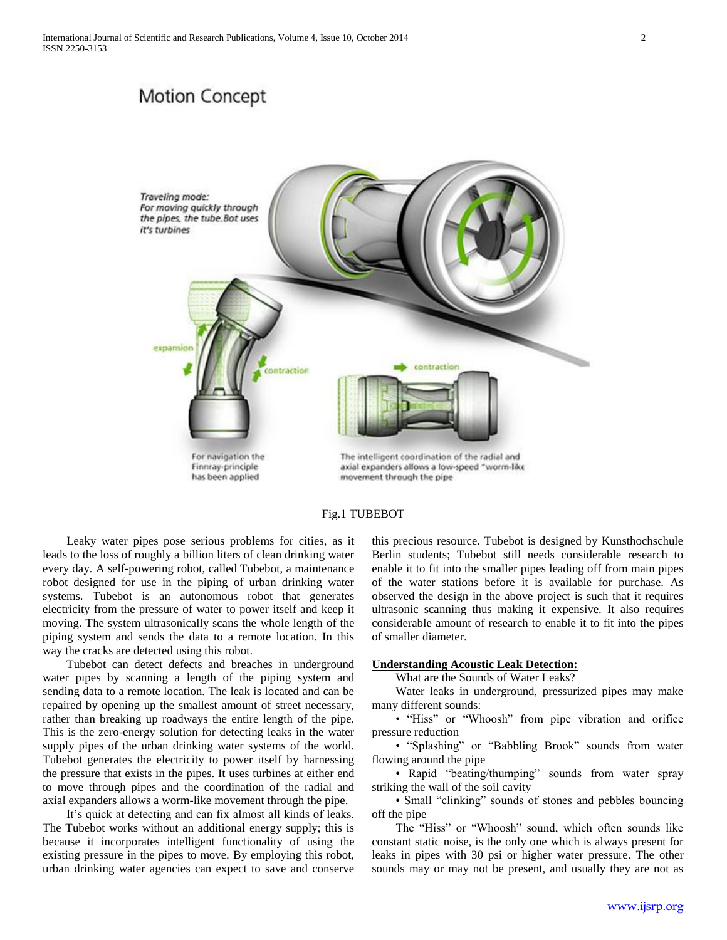## **Motion Concept**



#### Fig.1 TUBEBOT

 Leaky water pipes pose serious problems for cities, as it leads to the loss of roughly a billion liters of clean drinking water every day. A self-powering robot, called Tubebot, a maintenance robot designed for use in the piping of urban drinking water systems. Tubebot is an autonomous robot that generates electricity from the pressure of water to power itself and keep it moving. The system ultrasonically scans the whole length of the piping system and sends the data to a remote location. In this way the cracks are detected using this robot.

 Tubebot can detect defects and breaches in underground water pipes by scanning a length of the piping system and sending data to a remote location. The leak is located and can be repaired by opening up the smallest amount of street necessary, rather than breaking up roadways the entire length of the pipe. This is the zero-energy solution for detecting leaks in the water supply pipes of the urban drinking water systems of the world. Tubebot generates the electricity to power itself by harnessing the pressure that exists in the pipes. It uses turbines at either end to move through pipes and the coordination of the radial and axial expanders allows a worm-like movement through the pipe.

 It's quick at detecting and can fix almost all kinds of leaks. The Tubebot works without an additional energy supply; this is because it incorporates intelligent functionality of using the existing pressure in the pipes to move. By employing this robot, urban drinking water agencies can expect to save and conserve

this precious resource. Tubebot is designed by Kunsthochschule Berlin students; Tubebot still needs considerable research to enable it to fit into the smaller pipes leading off from main pipes of the water stations before it is available for purchase. As observed the design in the above project is such that it requires ultrasonic scanning thus making it expensive. It also requires considerable amount of research to enable it to fit into the pipes of smaller diameter.

#### **Understanding Acoustic Leak Detection:**

What are the Sounds of Water Leaks?

 Water leaks in underground, pressurized pipes may make many different sounds:

 • "Hiss" or "Whoosh" from pipe vibration and orifice pressure reduction

 • "Splashing" or "Babbling Brook" sounds from water flowing around the pipe

 • Rapid "beating/thumping" sounds from water spray striking the wall of the soil cavity

 • Small "clinking" sounds of stones and pebbles bouncing off the pipe

 The "Hiss" or "Whoosh" sound, which often sounds like constant static noise, is the only one which is always present for leaks in pipes with 30 psi or higher water pressure. The other sounds may or may not be present, and usually they are not as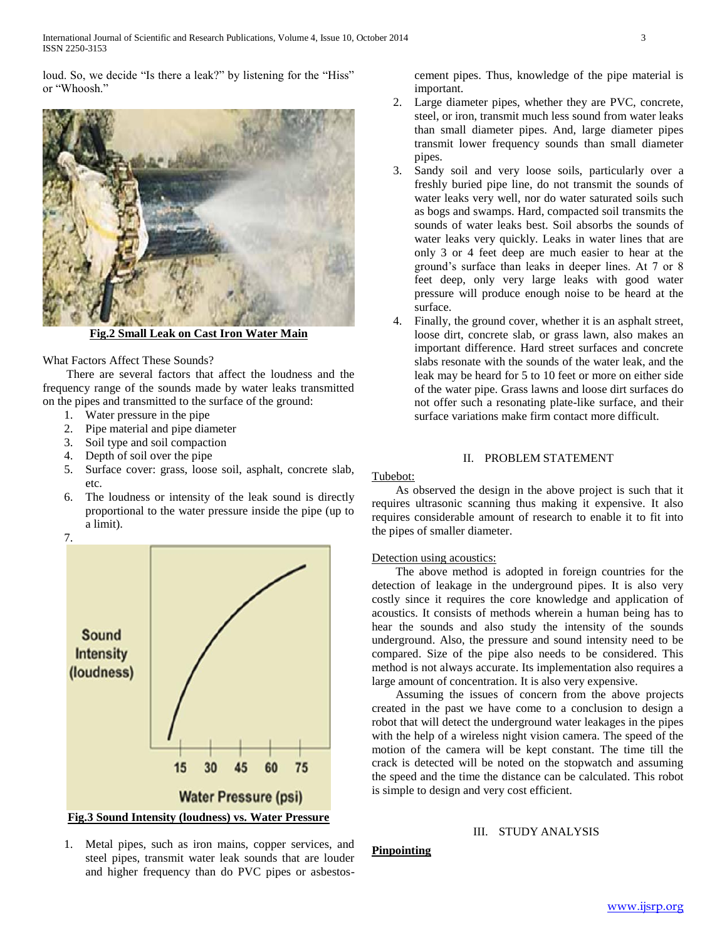loud. So, we decide "Is there a leak?" by listening for the "Hiss" or "Whoosh."



**Fig.2 Small Leak on Cast Iron Water Main**

#### What Factors Affect These Sounds?

 There are several factors that affect the loudness and the frequency range of the sounds made by water leaks transmitted on the pipes and transmitted to the surface of the ground:

- 1. Water pressure in the pipe
- 2. Pipe material and pipe diameter
- 3. Soil type and soil compaction
- 4. Depth of soil over the pipe
- 5. Surface cover: grass, loose soil, asphalt, concrete slab, etc.
- 6. The loudness or intensity of the leak sound is directly proportional to the water pressure inside the pipe (up to a limit).



cement pipes. Thus, knowledge of the pipe material is important.

- 2. Large diameter pipes, whether they are PVC, concrete, steel, or iron, transmit much less sound from water leaks than small diameter pipes. And, large diameter pipes transmit lower frequency sounds than small diameter pipes.
- 3. Sandy soil and very loose soils, particularly over a freshly buried pipe line, do not transmit the sounds of water leaks very well, nor do water saturated soils such as bogs and swamps. Hard, compacted soil transmits the sounds of water leaks best. Soil absorbs the sounds of water leaks very quickly. Leaks in water lines that are only 3 or 4 feet deep are much easier to hear at the ground's surface than leaks in deeper lines. At 7 or 8 feet deep, only very large leaks with good water pressure will produce enough noise to be heard at the surface.
- 4. Finally, the ground cover, whether it is an asphalt street, loose dirt, concrete slab, or grass lawn, also makes an important difference. Hard street surfaces and concrete slabs resonate with the sounds of the water leak, and the leak may be heard for 5 to 10 feet or more on either side of the water pipe. Grass lawns and loose dirt surfaces do not offer such a resonating plate-like surface, and their surface variations make firm contact more difficult.

#### II. PROBLEM STATEMENT

#### Tubebot:

**Pinpointing**

 As observed the design in the above project is such that it requires ultrasonic scanning thus making it expensive. It also requires considerable amount of research to enable it to fit into the pipes of smaller diameter.

#### Detection using acoustics:

 The above method is adopted in foreign countries for the detection of leakage in the underground pipes. It is also very costly since it requires the core knowledge and application of acoustics. It consists of methods wherein a human being has to hear the sounds and also study the intensity of the sounds underground. Also, the pressure and sound intensity need to be compared. Size of the pipe also needs to be considered. This method is not always accurate. Its implementation also requires a large amount of concentration. It is also very expensive.

 Assuming the issues of concern from the above projects created in the past we have come to a conclusion to design a robot that will detect the underground water leakages in the pipes with the help of a wireless night vision camera. The speed of the motion of the camera will be kept constant. The time till the crack is detected will be noted on the stopwatch and assuming the speed and the time the distance can be calculated. This robot is simple to design and very cost efficient.

### III. STUDY ANALYSIS

1. Metal pipes, such as iron mains, copper services, and steel pipes, transmit water leak sounds that are louder and higher frequency than do PVC pipes or asbestos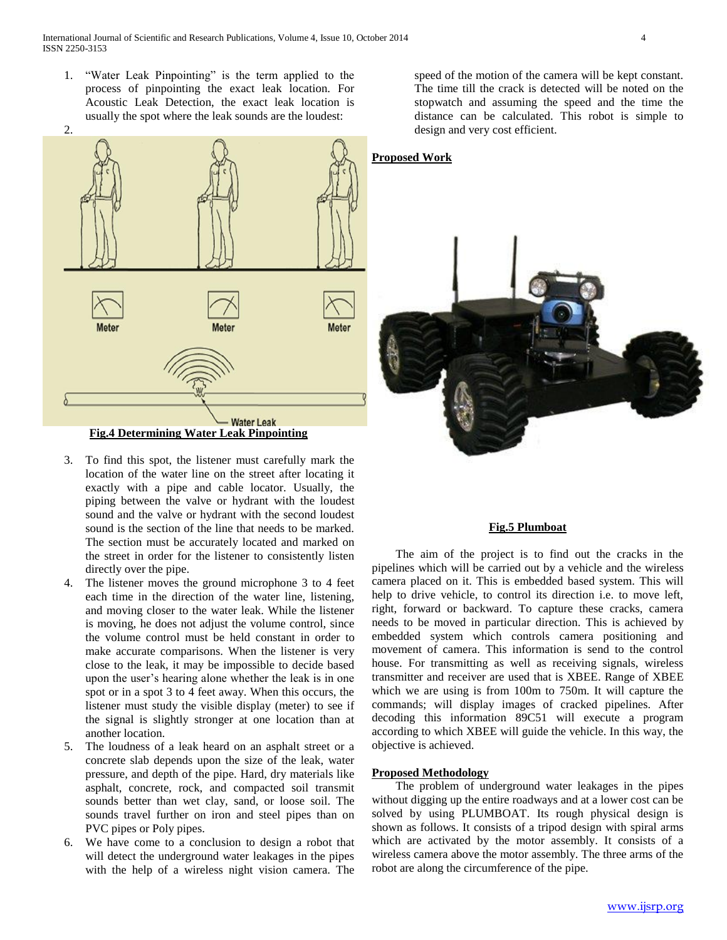1. "Water Leak Pinpointing" is the term applied to the process of pinpointing the exact leak location. For Acoustic Leak Detection, the exact leak location is usually the spot where the leak sounds are the loudest:

2. **Proposed Work** Meter **Meter** Meter **Water Leak Fig.4 Determining Water Leak Pinpointing**

- 3. To find this spot, the listener must carefully mark the location of the water line on the street after locating it exactly with a pipe and cable locator. Usually, the piping between the valve or hydrant with the loudest sound and the valve or hydrant with the second loudest sound is the section of the line that needs to be marked. The section must be accurately located and marked on the street in order for the listener to consistently listen directly over the pipe.
- 4. The listener moves the ground microphone 3 to 4 feet each time in the direction of the water line, listening, and moving closer to the water leak. While the listener is moving, he does not adjust the volume control, since the volume control must be held constant in order to make accurate comparisons. When the listener is very close to the leak, it may be impossible to decide based upon the user's hearing alone whether the leak is in one spot or in a spot 3 to 4 feet away. When this occurs, the listener must study the visible display (meter) to see if the signal is slightly stronger at one location than at another location.
- 5. The loudness of a leak heard on an asphalt street or a concrete slab depends upon the size of the leak, water pressure, and depth of the pipe. Hard, dry materials like asphalt, concrete, rock, and compacted soil transmit sounds better than wet clay, sand, or loose soil. The sounds travel further on iron and steel pipes than on PVC pipes or Poly pipes.
- 6. We have come to a conclusion to design a robot that will detect the underground water leakages in the pipes with the help of a wireless night vision camera. The

speed of the motion of the camera will be kept constant. The time till the crack is detected will be noted on the stopwatch and assuming the speed and the time the distance can be calculated. This robot is simple to design and very cost efficient.



#### **Fig.5 Plumboat**

 The aim of the project is to find out the cracks in the pipelines which will be carried out by a vehicle and the wireless camera placed on it. This is embedded based system. This will help to drive vehicle, to control its direction i.e. to move left, right, forward or backward. To capture these cracks, camera needs to be moved in particular direction. This is achieved by embedded system which controls camera positioning and movement of camera. This information is send to the control house. For transmitting as well as receiving signals, wireless transmitter and receiver are used that is XBEE. Range of XBEE which we are using is from 100m to 750m. It will capture the commands; will display images of cracked pipelines. After decoding this information 89C51 will execute a program according to which XBEE will guide the vehicle. In this way, the objective is achieved.

#### **Proposed Methodology**

 The problem of underground water leakages in the pipes without digging up the entire roadways and at a lower cost can be solved by using PLUMBOAT. Its rough physical design is shown as follows. It consists of a tripod design with spiral arms which are activated by the motor assembly. It consists of a wireless camera above the motor assembly. The three arms of the robot are along the circumference of the pipe.